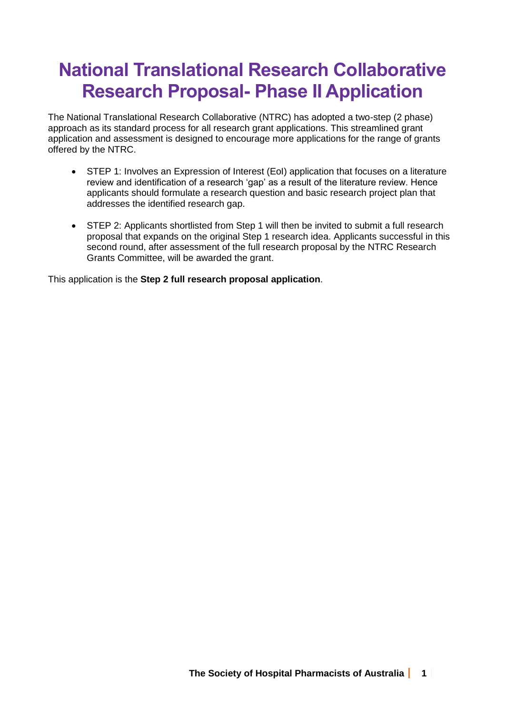# **National Translational Research Collaborative Research Proposal- Phase II Application**

The National Translational Research Collaborative (NTRC) has adopted a two-step (2 phase) approach as its standard process for all research grant applications. This streamlined grant application and assessment is designed to encourage more applications for the range of grants offered by the NTRC.

- STEP 1: Involves an Expression of Interest (EoI) application that focuses on a literature review and identification of a research 'gap' as a result of the literature review. Hence applicants should formulate a research question and basic research project plan that addresses the identified research gap.
- STEP 2: Applicants shortlisted from Step 1 will then be invited to submit a full research proposal that expands on the original Step 1 research idea. Applicants successful in this second round, after assessment of the full research proposal by the NTRC Research Grants Committee, will be awarded the grant.

This application is the **Step 2 full research proposal application**.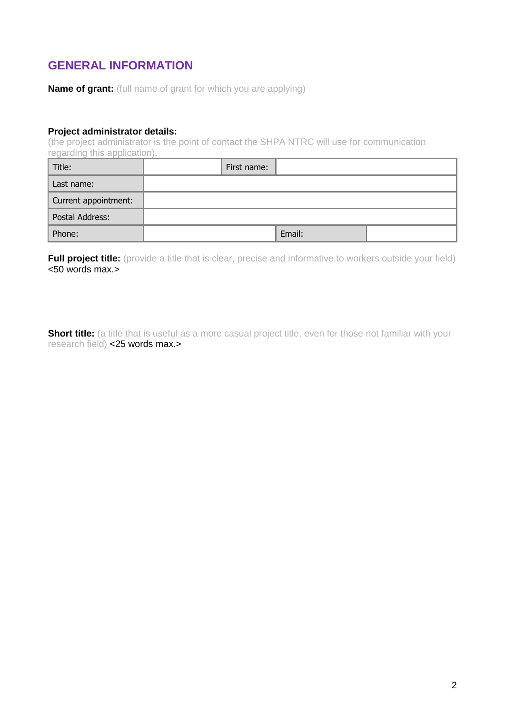# **GENERAL INFORMATION**

**Name of grant:** (full name of grant for which you are applying)

#### **Project administrator details:**

(the project administrator is the point of contact the SHPA NTRC will use for communication regarding this application).

| Title:               | First name: |  |
|----------------------|-------------|--|
| Last name:           |             |  |
| Current appointment: |             |  |
| Postal Address:      |             |  |
| Phone:               | Email:      |  |

**Full project title:** (provide a title that is clear, precise and informative to workers outside your field) <50 words max.>

**Short title:** (a title that is useful as a more casual project title, even for those not familiar with your research field) <25 words max.>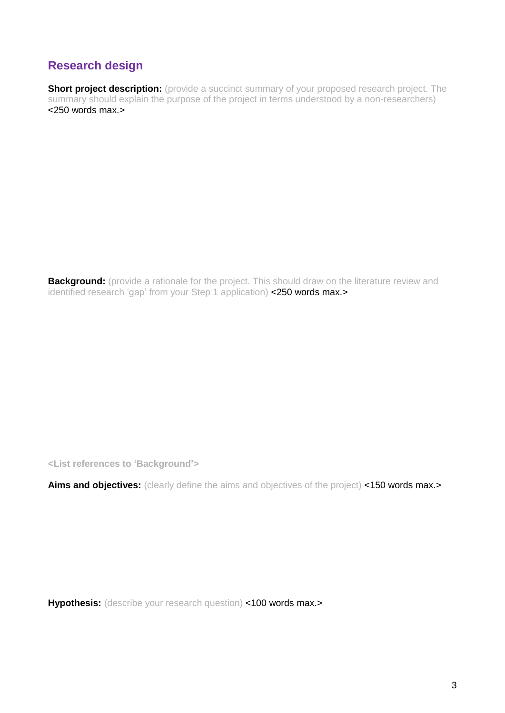# **Research design**

**Short project description:** (provide a succinct summary of your proposed research project. The summary should explain the purpose of the project in terms understood by a non-researchers) <250 words max.>

**Background:** (provide a rationale for the project. This should draw on the literature review and identified research 'gap' from your Step 1 application) <250 words max.>

**<List references to 'Background'>**

Aims and objectives: (clearly define the aims and objectives of the project) <150 words max.>

**Hypothesis:** (describe your research question) <100 words max.>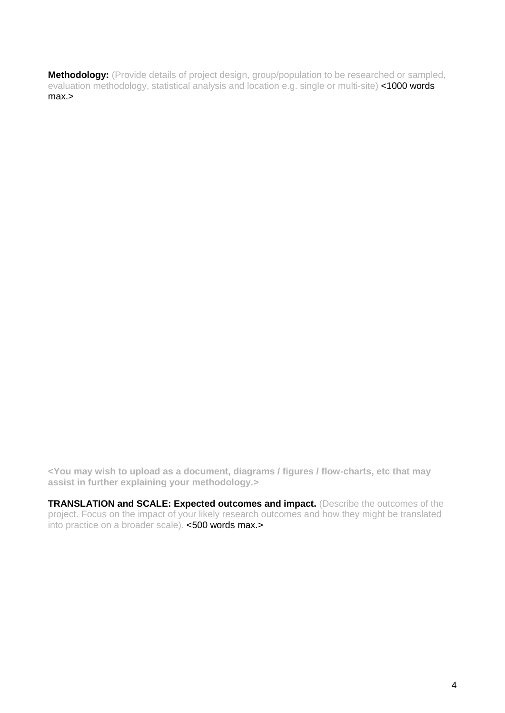**Methodology:** (Provide details of project design, group/population to be researched or sampled, evaluation methodology, statistical analysis and location e.g. single or multi-site) <1000 words max.>

**<You may wish to upload as a document, diagrams / figures / flow-charts, etc that may assist in further explaining your methodology.>**

**TRANSLATION and SCALE: Expected outcomes and impact.** (Describe the outcomes of the project. Focus on the impact of your likely research outcomes and how they might be translated into practice on a broader scale). <500 words max.>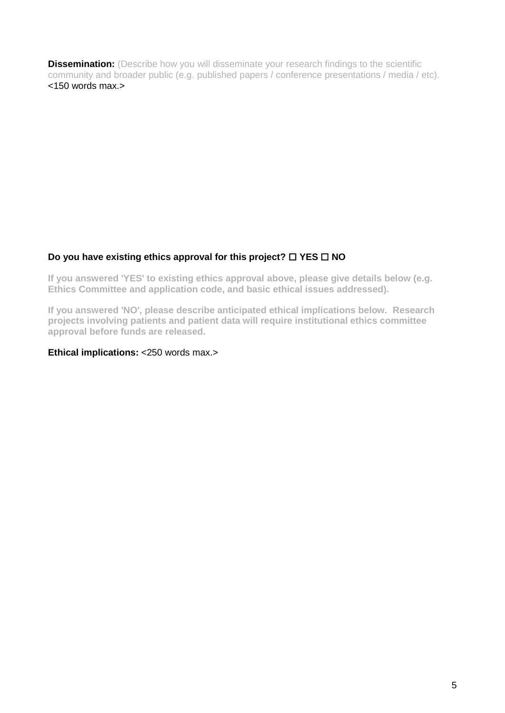**Dissemination:** (Describe how you will disseminate your research findings to the scientific community and broader public (e.g. published papers / conference presentations / media / etc). <150 words max.>

#### **Do you have existing ethics approval for this project? □ YES □ NO**

**If you answered 'YES' to existing ethics approval above, please give details below (e.g. Ethics Committee and application code, and basic ethical issues addressed).**

**If you answered 'NO', please describe anticipated ethical implications below. Research projects involving patients and patient data will require institutional ethics committee approval before funds are released.**

#### **Ethical implications: <250 words max.>**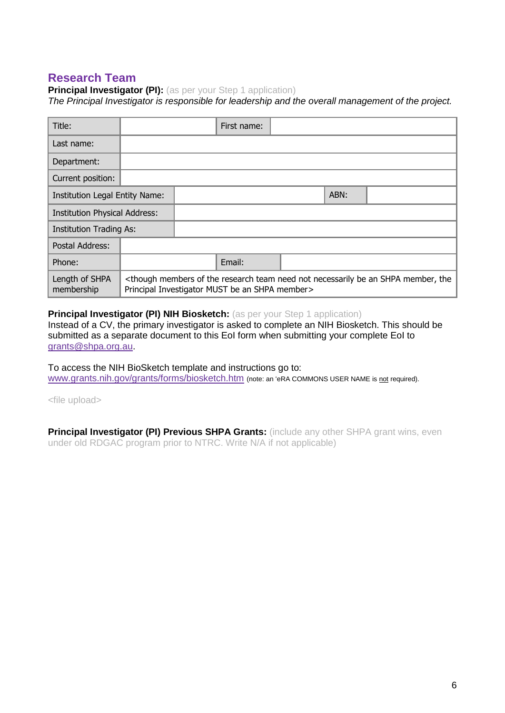### **Research Team**

**Principal Investigator (PI):** (as per your Step 1 application)

*The Principal Investigator is responsible for leadership and the overall management of the project.*

| Title:                               |                                                                                                                                                                                       |  | First name: |  |      |  |
|--------------------------------------|---------------------------------------------------------------------------------------------------------------------------------------------------------------------------------------|--|-------------|--|------|--|
| Last name:                           |                                                                                                                                                                                       |  |             |  |      |  |
| Department:                          |                                                                                                                                                                                       |  |             |  |      |  |
| Current position:                    |                                                                                                                                                                                       |  |             |  |      |  |
| Institution Legal Entity Name:       |                                                                                                                                                                                       |  |             |  | ABN: |  |
| <b>Institution Physical Address:</b> |                                                                                                                                                                                       |  |             |  |      |  |
| <b>Institution Trading As:</b>       |                                                                                                                                                                                       |  |             |  |      |  |
| Postal Address:                      |                                                                                                                                                                                       |  |             |  |      |  |
| Phone:                               |                                                                                                                                                                                       |  | Email:      |  |      |  |
| Length of SHPA<br>membership         | <though an="" be="" member,="" members="" necessarily="" need="" not="" of="" research="" shpa="" team="" the="" the<br="">Principal Investigator MUST be an SHPA member&gt;</though> |  |             |  |      |  |

#### **Principal Investigator (PI) NIH Biosketch:** (as per your Step 1 application)

Instead of a CV, the primary investigator is asked to complete an NIH Biosketch. This should be submitted as a separate document to this EoI form when submitting your complete EoI to [grants@shpa.org.au.](mailto:grants@shpa.org.au)

To access the NIH BioSketch template and instructions go to: [www.grants.nih.gov/grants/forms/biosketch.htm](http://www.grants.nih.gov/grants/forms/biosketch.htm) (note: an 'eRA COMMONS USER NAME is not required).

<file upload>

**Principal Investigator (PI) Previous SHPA Grants:** (include any other SHPA grant wins, even under old RDGAC program prior to NTRC. Write N/A if not applicable)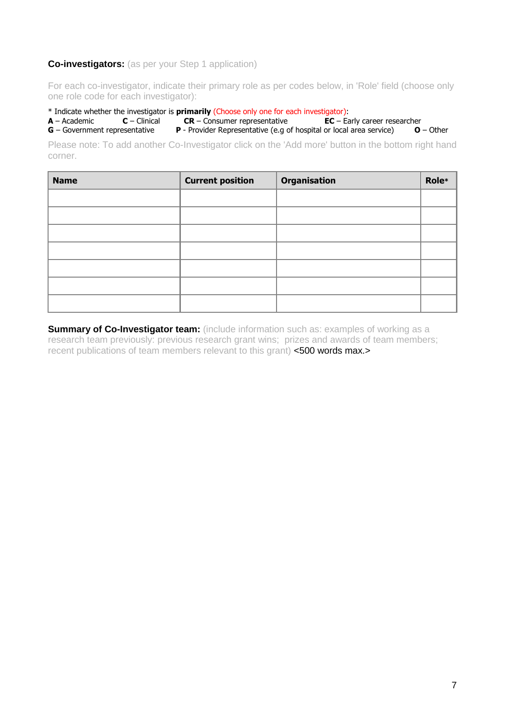#### **Co-investigators:** (as per your Step 1 application)

For each co-investigator, indicate their primary role as per codes below, in 'Role' field (choose only one role code for each investigator):

\* Indicate whether the investigator is **primarily** (Choose only one for each investigator): **A** – Academic **C** – Clinical **CR** – Consumer representative

**G** – Government representative **P** - Provider Representative (e.g of hospital or local area service) **O** – Other

Please note: To add another Co-Investigator click on the 'Add more' button in the bottom right hand corner.

| <b>Name</b> | <b>Current position</b> | Organisation | Role* |
|-------------|-------------------------|--------------|-------|
|             |                         |              |       |
|             |                         |              |       |
|             |                         |              |       |
|             |                         |              |       |
|             |                         |              |       |
|             |                         |              |       |
|             |                         |              |       |

**Summary of Co-Investigator team:** (include information such as: examples of working as a research team previously: previous research grant wins; prizes and awards of team members; recent publications of team members relevant to this grant) <500 words max.>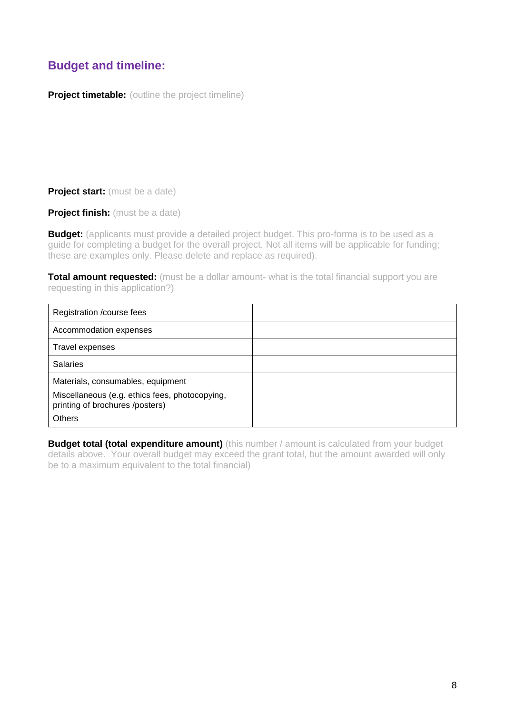# **Budget and timeline:**

**Project timetable:** (outline the project timeline)

**Project start:** (must be a date)

**Project finish:** (must be a date)

**Budget:** (applicants must provide a detailed project budget. This pro-forma is to be used as a guide for completing a budget for the overall project. Not all items will be applicable for funding; these are examples only. Please delete and replace as required).

**Total amount requested:** (must be a dollar amount- what is the total financial support you are requesting in this application?)

| Registration / course fees                                                        |  |
|-----------------------------------------------------------------------------------|--|
| Accommodation expenses                                                            |  |
| Travel expenses                                                                   |  |
| <b>Salaries</b>                                                                   |  |
| Materials, consumables, equipment                                                 |  |
| Miscellaneous (e.g. ethics fees, photocopying,<br>printing of brochures /posters) |  |
| <b>Others</b>                                                                     |  |

**Budget total (total expenditure amount)** (this number / amount is calculated from your budget details above. Your overall budget may exceed the grant total, but the amount awarded will only be to a maximum equivalent to the total financial)